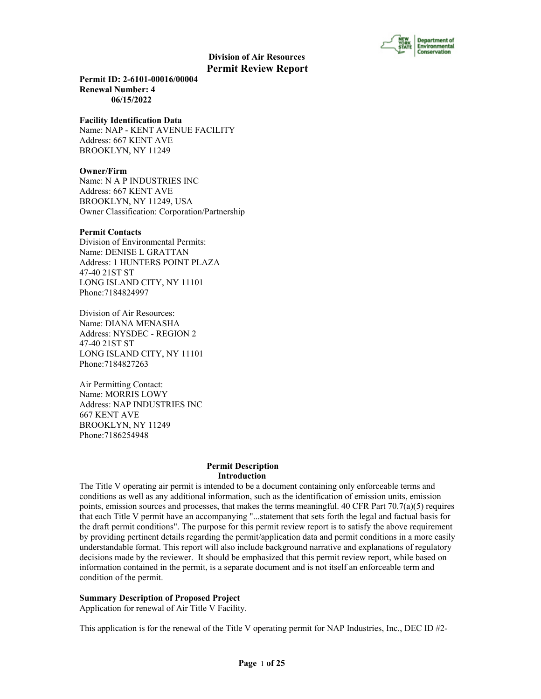

**Permit ID: 2-6101-00016/00004 Renewal Number: 4 06/15/2022**

#### **Facility Identification Data**

Name: NAP - KENT AVENUE FACILITY Address: 667 KENT AVE BROOKLYN, NY 11249

#### **Owner/Firm**

Name: N A P INDUSTRIES INC Address: 667 KENT AVE BROOKLYN, NY 11249, USA Owner Classification: Corporation/Partnership

#### **Permit Contacts**

Division of Environmental Permits: Name: DENISE L GRATTAN Address: 1 HUNTERS POINT PLAZA 47-40 21ST ST LONG ISLAND CITY, NY 11101 Phone:7184824997

Division of Air Resources: Name: DIANA MENASHA Address: NYSDEC - REGION 2 47-40 21ST ST LONG ISLAND CITY, NY 11101 Phone:7184827263

Air Permitting Contact: Name: MORRIS LOWY Address: NAP INDUSTRIES INC 667 KENT AVE BROOKLYN, NY 11249 Phone:7186254948

#### **Permit Description Introduction**

The Title V operating air permit is intended to be a document containing only enforceable terms and conditions as well as any additional information, such as the identification of emission units, emission points, emission sources and processes, that makes the terms meaningful. 40 CFR Part  $70.7(a)(5)$  requires that each Title V permit have an accompanying "...statement that sets forth the legal and factual basis for the draft permit conditions". The purpose for this permit review report is to satisfy the above requirement by providing pertinent details regarding the permit/application data and permit conditions in a more easily understandable format. This report will also include background narrative and explanations of regulatory decisions made by the reviewer. It should be emphasized that this permit review report, while based on information contained in the permit, is a separate document and is not itself an enforceable term and condition of the permit.

#### **Summary Description of Proposed Project**

Application for renewal of Air Title V Facility.

This application is for the renewal of the Title V operating permit for NAP Industries, Inc., DEC ID #2-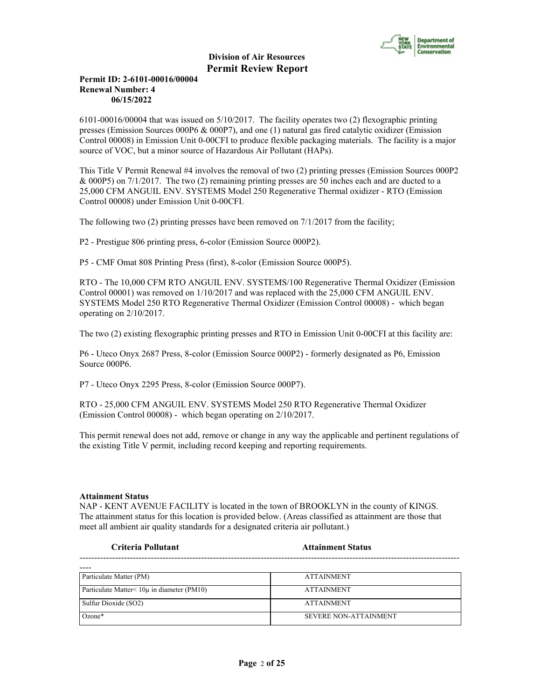

## **Permit ID: 2-6101-00016/00004 Renewal Number: 4 06/15/2022**

6101-00016/00004 that was issued on 5/10/2017. The facility operates two (2) flexographic printing presses (Emission Sources 000P6 & 000P7), and one (1) natural gas fired catalytic oxidizer (Emission Control 00008) in Emission Unit 0-00CFI to produce flexible packaging materials. The facility is a major source of VOC, but a minor source of Hazardous Air Pollutant (HAPs).

This Title V Permit Renewal #4 involves the removal of two (2) printing presses (Emission Sources 000P2 & 000P5) on 7/1/2017. The two (2) remaining printing presses are 50 inches each and are ducted to a 25,000 CFM ANGUIL ENV. SYSTEMS Model 250 Regenerative Thermal oxidizer - RTO (Emission Control 00008) under Emission Unit 0-00CFI.

The following two (2) printing presses have been removed on  $7/1/2017$  from the facility;

P2 - Prestigue 806 printing press, 6-color (Emission Source 000P2).

P5 - CMF Omat 808 Printing Press (first), 8-color (Emission Source 000P5).

RTO - The 10,000 CFM RTO ANGUIL ENV. SYSTEMS/100 Regenerative Thermal Oxidizer (Emission Control 00001) was removed on 1/10/2017 and was replaced with the 25,000 CFM ANGUIL ENV. SYSTEMS Model 250 RTO Regenerative Thermal Oxidizer (Emission Control 00008) - which began operating on 2/10/2017.

The two (2) existing flexographic printing presses and RTO in Emission Unit 0-00CFI at this facility are:

P6 - Uteco Onyx 2687 Press, 8-color (Emission Source 000P2) - formerly designated as P6, Emission Source 000P6.

P7 - Uteco Onyx 2295 Press, 8-color (Emission Source 000P7).

RTO - 25,000 CFM ANGUIL ENV. SYSTEMS Model 250 RTO Regenerative Thermal Oxidizer (Emission Control 00008) - which began operating on 2/10/2017.

This permit renewal does not add, remove or change in any way the applicable and pertinent regulations of the existing Title V permit, including record keeping and reporting requirements.

#### **Attainment Status**

NAP - KENT AVENUE FACILITY is located in the town of BROOKLYN in the county of KINGS. The attainment status for this location is provided below. (Areas classified as attainment are those that meet all ambient air quality standards for a designated criteria air pollutant.)

**Criteria Pollutant Attainment Status**

| Particulate Matter (PM)                    | <b>ATTAINMENT</b>            |
|--------------------------------------------|------------------------------|
| Particulate Matter< 10µ in diameter (PM10) | <b>ATTAINMENT</b>            |
| Sulfur Dioxide (SO2)                       | <b>ATTAINMENT</b>            |
| $Ozone*$                                   | <b>SEVERE NON-ATTAINMENT</b> |

--------------------------------------------------------------------------------------------------------------------------------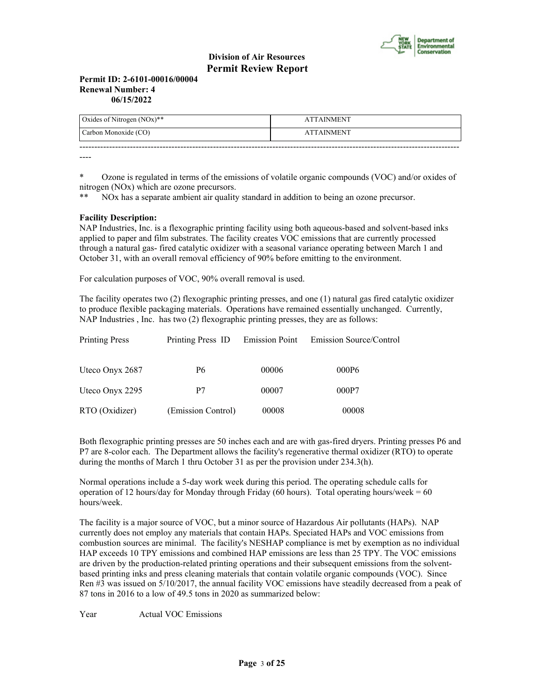

#### **Permit ID: 2-6101-00016/00004 Renewal Number: 4 06/15/2022**

| Oxides of Nitrogen $(NOx)**$ | <b>ATTAINMENT</b> |
|------------------------------|-------------------|
| Carbon Monoxide (CO)         | <b>ATTAINMENT</b> |
|                              |                   |

----

\* Ozone is regulated in terms of the emissions of volatile organic compounds (VOC) and/or oxides of nitrogen (NOx) which are ozone precursors.

\*\* NOx has a separate ambient air quality standard in addition to being an ozone precursor.

## **Facility Description:**

NAP Industries, Inc. is a flexographic printing facility using both aqueous-based and solvent-based inks applied to paper and film substrates. The facility creates VOC emissions that are currently processed through a natural gas- fired catalytic oxidizer with a seasonal variance operating between March 1 and October 31, with an overall removal efficiency of 90% before emitting to the environment.

For calculation purposes of VOC, 90% overall removal is used.

The facility operates two (2) flexographic printing presses, and one (1) natural gas fired catalytic oxidizer to produce flexible packaging materials. Operations have remained essentially unchanged. Currently, NAP Industries , Inc. has two (2) flexographic printing presses, they are as follows:

| <b>Printing Press</b> | Printing Press ID Emission Point |       | Emission Source/Control |
|-----------------------|----------------------------------|-------|-------------------------|
| Uteco Onyx 2687       | P6                               | 00006 | 000P6                   |
| Uteco Onyx 2295       | P7                               | 00007 | 000P7                   |
| RTO (Oxidizer)        | (Emission Control)               | 00008 | 00008                   |

Both flexographic printing presses are 50 inches each and are with gas-fired dryers. Printing presses P6 and P7 are 8-color each. The Department allows the facility's regenerative thermal oxidizer (RTO) to operate during the months of March 1 thru October 31 as per the provision under 234.3(h).

Normal operations include a 5-day work week during this period. The operating schedule calls for operation of 12 hours/day for Monday through Friday (60 hours). Total operating hours/week =  $60$ hours/week.

The facility is a major source of VOC, but a minor source of Hazardous Air pollutants (HAPs). NAP currently does not employ any materials that contain HAPs. Speciated HAPs and VOC emissions from combustion sources are minimal. The facility's NESHAP compliance is met by exemption as no individual HAP exceeds 10 TPY emissions and combined HAP emissions are less than 25 TPY. The VOC emissions are driven by the production-related printing operations and their subsequent emissions from the solventbased printing inks and press cleaning materials that contain volatile organic compounds (VOC). Since Ren #3 was issued on 5/10/2017, the annual facility VOC emissions have steadily decreased from a peak of 87 tons in 2016 to a low of 49.5 tons in 2020 as summarized below:

Year Actual VOC Emissions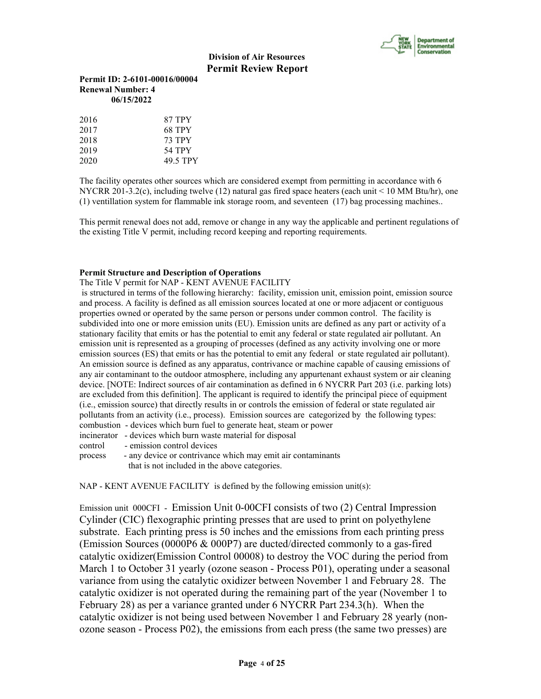

## **Permit ID: 2-6101-00016/00004 Renewal Number: 4 06/15/2022**

| 2016 | 87 TPY        |
|------|---------------|
| 2017 | 68 TPY        |
| 2018 | <b>73 TPY</b> |
| 2019 | 54 TPY        |
| 2020 | 49.5 TPY      |

The facility operates other sources which are considered exempt from permitting in accordance with 6 NYCRR 201-3.2(c), including twelve (12) natural gas fired space heaters (each unit < 10 MM Btu/hr), one (1) ventillation system for flammable ink storage room, and seventeen (17) bag processing machines..

This permit renewal does not add, remove or change in any way the applicable and pertinent regulations of the existing Title V permit, including record keeping and reporting requirements.

## **Permit Structure and Description of Operations**

The Title V permit for NAP - KENT AVENUE FACILITY

 is structured in terms of the following hierarchy: facility, emission unit, emission point, emission source and process. A facility is defined as all emission sources located at one or more adjacent or contiguous properties owned or operated by the same person or persons under common control. The facility is subdivided into one or more emission units (EU). Emission units are defined as any part or activity of a stationary facility that emits or has the potential to emit any federal or state regulated air pollutant. An emission unit is represented as a grouping of processes (defined as any activity involving one or more emission sources (ES) that emits or has the potential to emit any federal or state regulated air pollutant). An emission source is defined as any apparatus, contrivance or machine capable of causing emissions of any air contaminant to the outdoor atmosphere, including any appurtenant exhaust system or air cleaning device. [NOTE: Indirect sources of air contamination as defined in 6 NYCRR Part 203 (i.e. parking lots) are excluded from this definition]. The applicant is required to identify the principal piece of equipment (i.e., emission source) that directly results in or controls the emission of federal or state regulated air pollutants from an activity (i.e., process). Emission sources are categorized by the following types: combustion - devices which burn fuel to generate heat, steam or power incinerator - devices which burn waste material for disposal control - emission control devices process - any device or contrivance which may emit air contaminants

that is not included in the above categories.

 $NAP$  - KENT AVENUE FACILITY is defined by the following emission unit(s):

Emission unit 000CFI - Emission Unit 0-00CFI consists of two (2) Central Impression Cylinder (CIC) flexographic printing presses that are used to print on polyethylene substrate. Each printing press is 50 inches and the emissions from each printing press (Emission Sources (0000P6 & 000P7) are ducted/directed commonly to a gas-fired catalytic oxidizer(Emission Control 00008) to destroy the VOC during the period from March 1 to October 31 yearly (ozone season - Process P01), operating under a seasonal variance from using the catalytic oxidizer between November 1 and February 28. The catalytic oxidizer is not operated during the remaining part of the year (November 1 to February 28) as per a variance granted under 6 NYCRR Part 234.3(h). When the catalytic oxidizer is not being used between November 1 and February 28 yearly (nonozone season - Process P02), the emissions from each press (the same two presses) are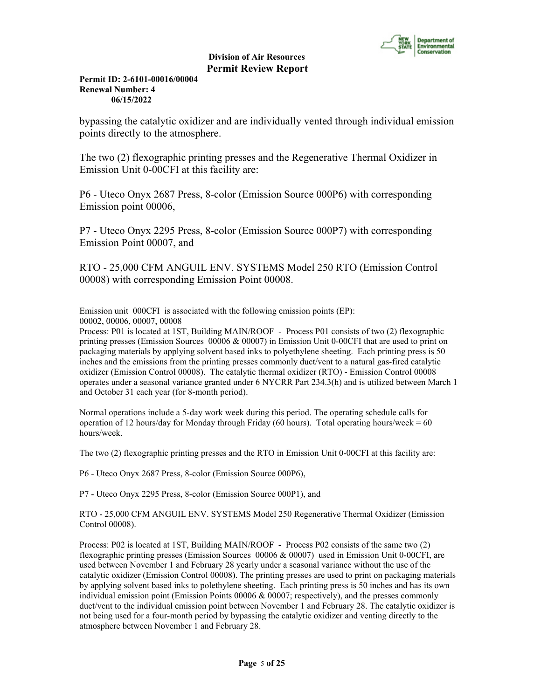

## **Permit ID: 2-6101-00016/00004 Renewal Number: 4 06/15/2022**

bypassing the catalytic oxidizer and are individually vented through individual emission points directly to the atmosphere.

The two (2) flexographic printing presses and the Regenerative Thermal Oxidizer in Emission Unit 0-00CFI at this facility are:

P6 - Uteco Onyx 2687 Press, 8-color (Emission Source 000P6) with corresponding Emission point 00006,

P7 - Uteco Onyx 2295 Press, 8-color (Emission Source 000P7) with corresponding Emission Point 00007, and

RTO - 25,000 CFM ANGUIL ENV. SYSTEMS Model 250 RTO (Emission Control 00008) with corresponding Emission Point 00008.

Emission unit 000CFI is associated with the following emission points (EP): 00002, 00006, 00007, 00008

Process: P01 is located at 1ST, Building MAIN/ROOF - Process P01 consists of two (2) flexographic printing presses (Emission Sources 00006 & 00007) in Emission Unit 0-00CFI that are used to print on packaging materials by applying solvent based inks to polyethylene sheeting. Each printing press is 50 inches and the emissions from the printing presses commonly duct/vent to a natural gas-fired catalytic oxidizer (Emission Control 00008). The catalytic thermal oxidizer (RTO) - Emission Control 00008 operates under a seasonal variance granted under 6 NYCRR Part 234.3(h) and is utilized between March 1 and October 31 each year (for 8-month period).

Normal operations include a 5-day work week during this period. The operating schedule calls for operation of 12 hours/day for Monday through Friday (60 hours). Total operating hours/week =  $60$ hours/week.

The two (2) flexographic printing presses and the RTO in Emission Unit 0-00CFI at this facility are:

P6 - Uteco Onyx 2687 Press, 8-color (Emission Source 000P6),

P7 - Uteco Onyx 2295 Press, 8-color (Emission Source 000P1), and

RTO - 25,000 CFM ANGUIL ENV. SYSTEMS Model 250 Regenerative Thermal Oxidizer (Emission Control 00008).

Process: P02 is located at 1ST, Building MAIN/ROOF - Process P02 consists of the same two (2) flexographic printing presses (Emission Sources 00006 & 00007) used in Emission Unit 0-00CFI, are used between November 1 and February 28 yearly under a seasonal variance without the use of the catalytic oxidizer (Emission Control 00008). The printing presses are used to print on packaging materials by applying solvent based inks to polethylene sheeting. Each printing press is 50 inches and has its own individual emission point (Emission Points 00006 & 00007; respectively), and the presses commonly duct/vent to the individual emission point between November 1 and February 28. The catalytic oxidizer is not being used for a four-month period by bypassing the catalytic oxidizer and venting directly to the atmosphere between November 1 and February 28.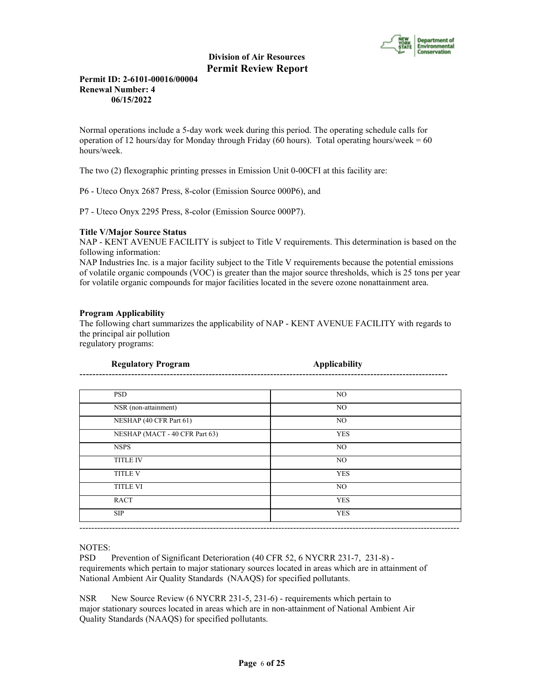

## **Permit ID: 2-6101-00016/00004 Renewal Number: 4 06/15/2022**

Normal operations include a 5-day work week during this period. The operating schedule calls for operation of 12 hours/day for Monday through Friday (60 hours). Total operating hours/week =  $60$ hours/week.

The two (2) flexographic printing presses in Emission Unit 0-00CFI at this facility are:

P6 - Uteco Onyx 2687 Press, 8-color (Emission Source 000P6), and

P7 - Uteco Onyx 2295 Press, 8-color (Emission Source 000P7).

#### **Title V/Major Source Status**

NAP - KENT AVENUE FACILITY is subject to Title V requirements. This determination is based on the following information:

NAP Industries Inc. is a major facility subject to the Title V requirements because the potential emissions of volatile organic compounds (VOC) is greater than the major source thresholds, which is 25 tons per year for volatile organic compounds for major facilities located in the severe ozone nonattainment area.

## **Program Applicability**

The following chart summarizes the applicability of NAP - KENT AVENUE FACILITY with regards to the principal air pollution

regulatory programs:

| <b>Regulatory Program</b>      | <b>Applicability</b> |
|--------------------------------|----------------------|
|                                |                      |
| <b>PSD</b>                     | NO.                  |
| NSR (non-attainment)           | NO.                  |
| NESHAP (40 CFR Part 61)        | NO.                  |
| NESHAP (MACT - 40 CFR Part 63) | <b>YES</b>           |
| <b>NSPS</b>                    | NO.                  |
| <b>TITLE IV</b>                | NO                   |
| <b>TITLE V</b>                 | <b>YES</b>           |
| <b>TITLE VI</b>                | NO                   |
| <b>RACT</b>                    | <b>YES</b>           |
| <b>SIP</b>                     | <b>YES</b>           |

#### NOTES:

PSD Prevention of Significant Deterioration (40 CFR 52, 6 NYCRR 231-7, 231-8) requirements which pertain to major stationary sources located in areas which are in attainment of National Ambient Air Quality Standards (NAAQS) for specified pollutants.

NSR New Source Review (6 NYCRR 231-5, 231-6) - requirements which pertain to major stationary sources located in areas which are in non-attainment of National Ambient Air Quality Standards (NAAQS) for specified pollutants.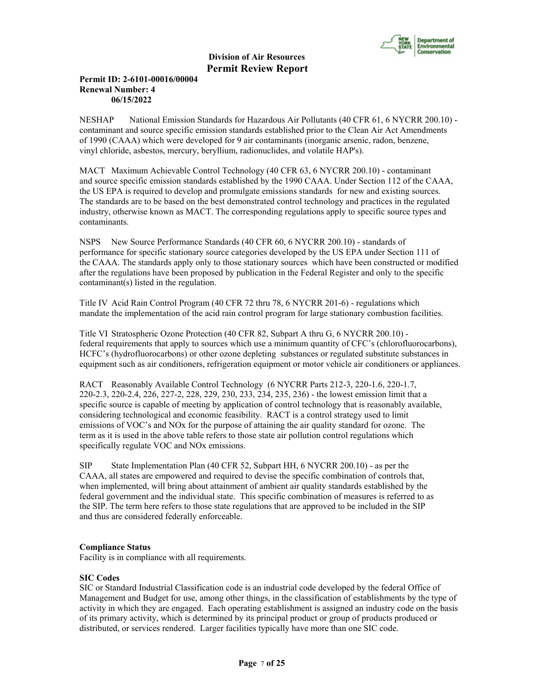

## **Permit ID: 2-6101-00016/00004 Renewal Number: 4 06/15/2022**

NESHAP National Emission Standards for Hazardous Air Pollutants (40 CFR 61, 6 NYCRR 200.10) contaminant and source specific emission standards established prior to the Clean Air Act Amendments of 1990 (CAAA) which were developed for 9 air contaminants (inorganic arsenic, radon, benzene, vinyl chloride, asbestos, mercury, beryllium, radionuclides, and volatile HAP's).

MACT Maximum Achievable Control Technology (40 CFR 63, 6 NYCRR 200.10) - contaminant and source specific emission standards established by the 1990 CAAA. Under Section 112 of the CAAA, the US EPA is required to develop and promulgate emissions standards for new and existing sources. The standards are to be based on the best demonstrated control technology and practices in the regulated industry, otherwise known as MACT. The corresponding regulations apply to specific source types and contaminants.

NSPS New Source Performance Standards (40 CFR 60, 6 NYCRR 200.10) - standards of performance for specific stationary source categories developed by the US EPA under Section 111 of the CAAA. The standards apply only to those stationary sources which have been constructed or modified after the regulations have been proposed by publication in the Federal Register and only to the specific contaminant(s) listed in the regulation.

Title IV Acid Rain Control Program (40 CFR 72 thru 78, 6 NYCRR 201-6) - regulations which mandate the implementation of the acid rain control program for large stationary combustion facilities.

Title VI Stratospheric Ozone Protection (40 CFR 82, Subpart A thru G, 6 NYCRR 200.10) federal requirements that apply to sources which use a minimum quantity of CFC's (chlorofluorocarbons), HCFC's (hydrofluorocarbons) or other ozone depleting substances or regulated substitute substances in equipment such as air conditioners, refrigeration equipment or motor vehicle air conditioners or appliances.

RACT Reasonably Available Control Technology (6 NYCRR Parts 212-3, 220-1.6, 220-1.7, 220-2.3, 220-2.4, 226, 227-2, 228, 229, 230, 233, 234, 235, 236) - the lowest emission limit that a specific source is capable of meeting by application of control technology that is reasonably available, considering technological and economic feasibility. RACT is a control strategy used to limit emissions of VOC's and NOx for the purpose of attaining the air quality standard for ozone. The term as it is used in the above table refers to those state air pollution control regulations which specifically regulate VOC and NOx emissions.

SIP State Implementation Plan (40 CFR 52, Subpart HH, 6 NYCRR 200.10) - as per the CAAA, all states are empowered and required to devise the specific combination of controls that, when implemented, will bring about attainment of ambient air quality standards established by the federal government and the individual state. This specific combination of measures is referred to as the SIP. The term here refers to those state regulations that are approved to be included in the SIP and thus are considered federally enforceable.

## **Compliance Status**

Facility is in compliance with all requirements.

## **SIC Codes**

SIC or Standard Industrial Classification code is an industrial code developed by the federal Office of Management and Budget for use, among other things, in the classification of establishments by the type of activity in which they are engaged. Each operating establishment is assigned an industry code on the basis of its primary activity, which is determined by its principal product or group of products produced or distributed, or services rendered. Larger facilities typically have more than one SIC code.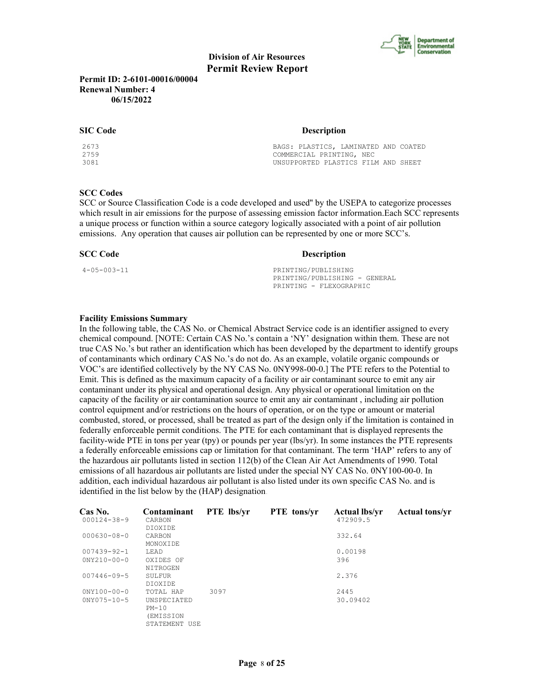

**Permit ID: 2-6101-00016/00004 Renewal Number: 4 06/15/2022**

| <b>SIC Code</b> | <b>Description</b>                   |  |  |
|-----------------|--------------------------------------|--|--|
| 2673            | BAGS: PLASTICS, LAMINATED AND COATED |  |  |
| 2759            | COMMERCIAL PRINTING, NEC             |  |  |
| 3081            | UNSUPPORTED PLASTICS FILM AND SHEET  |  |  |

#### **SCC Codes**

SCC or Source Classification Code is a code developed and used'' by the USEPA to categorize processes which result in air emissions for the purpose of assessing emission factor information.Each SCC represents a unique process or function within a source category logically associated with a point of air pollution emissions. Any operation that causes air pollution can be represented by one or more SCC's.

**SCC Code Description** 

4-05-003-11 PRINTING/PUBLISHING PRINTING/PUBLISHING - GENERAL PRINTING - FLEXOGRAPHIC

#### **Facility Emissions Summary**

In the following table, the CAS No. or Chemical Abstract Service code is an identifier assigned to every chemical compound. [NOTE: Certain CAS No.'s contain a 'NY' designation within them. These are not true CAS No.'s but rather an identification which has been developed by the department to identify groups of contaminants which ordinary CAS No.'s do not do. As an example, volatile organic compounds or VOC's are identified collectively by the NY CAS No. 0NY998-00-0.] The PTE refers to the Potential to Emit. This is defined as the maximum capacity of a facility or air contaminant source to emit any air contaminant under its physical and operational design. Any physical or operational limitation on the capacity of the facility or air contamination source to emit any air contaminant , including air pollution control equipment and/or restrictions on the hours of operation, or on the type or amount or material combusted, stored, or processed, shall be treated as part of the design only if the limitation is contained in federally enforceable permit conditions. The PTE for each contaminant that is displayed represents the facility-wide PTE in tons per year (tpy) or pounds per year (lbs/yr). In some instances the PTE represents a federally enforceable emissions cap or limitation for that contaminant. The term 'HAP' refers to any of the hazardous air pollutants listed in section 112(b) of the Clean Air Act Amendments of 1990. Total emissions of all hazardous air pollutants are listed under the special NY CAS No. 0NY100-00-0. In addition, each individual hazardous air pollutant is also listed under its own specific CAS No. and is identified in the list below by the (HAP) designation.

| Cas No.<br>$000124 - 38 - 9$           | Contaminant<br>CARBON<br>DIOXIDE                                  | <b>PTE</b> lbs/vr | <b>PTE</b> tons/yr | <b>Actual lbs/yr</b><br>472909.5 | <b>Actual tons/yr</b> |
|----------------------------------------|-------------------------------------------------------------------|-------------------|--------------------|----------------------------------|-----------------------|
| $000630 - 08 - 0$                      | CARBON<br>MONOXIDE                                                |                   |                    | 332.64                           |                       |
| $007439 - 92 - 1$                      | T.EAD                                                             |                   |                    | 0.00198                          |                       |
| $0NY210 - 00 - 0$                      | OXIDES OF<br>NITROGEN                                             |                   |                    | 396                              |                       |
| $007446 - 09 - 5$                      | SULFUR<br>DIOXIDE                                                 |                   |                    | 2.376                            |                       |
| $0NY100 - 00 - 0$<br>$0NY075 - 10 - 5$ | TOTAL HAP<br>UNSPECIATED<br>$PM-10$<br>(EMISSION<br>STATEMENT USE | 3097              |                    | 2445<br>30.09402                 |                       |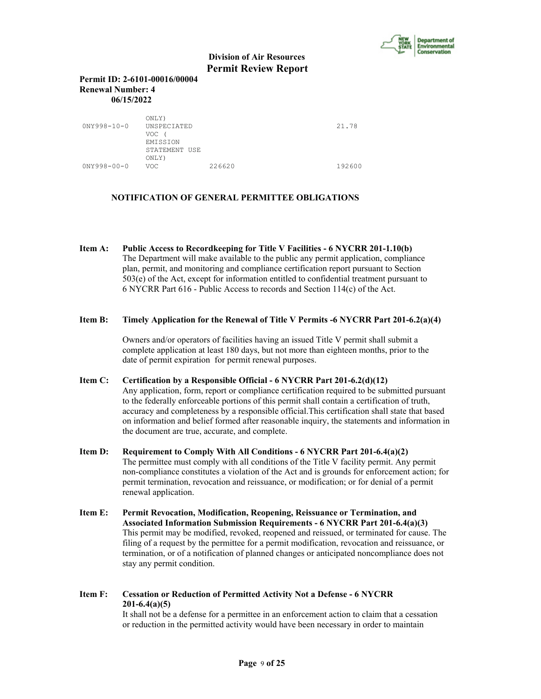

#### **Permit ID: 2-6101-00016/00004 Renewal Number: 4 06/15/2022**

| $0NY998 - 10 - 0$ | ONLY)<br>UNSPECIATED<br>VOC<br>EMISSION<br>STATEMENT USE<br>ONLY) |        | 21.78  |
|-------------------|-------------------------------------------------------------------|--------|--------|
| $0NY998 - 00 - 0$ | VOC.                                                              | 226620 | 192600 |

## **NOTIFICATION OF GENERAL PERMITTEE OBLIGATIONS**

**Item A: Public Access to Recordkeeping for Title V Facilities - 6 NYCRR 201-1.10(b)** The Department will make available to the public any permit application, compliance plan, permit, and monitoring and compliance certification report pursuant to Section 503(e) of the Act, except for information entitled to confidential treatment pursuant to 6 NYCRR Part 616 - Public Access to records and Section 114(c) of the Act.

#### **Item B: Timely Application for the Renewal of Title V Permits -6 NYCRR Part 201-6.2(a)(4)**

 Owners and/or operators of facilities having an issued Title V permit shall submit a complete application at least 180 days, but not more than eighteen months, prior to the date of permit expiration for permit renewal purposes.

## **Item C: Certification by a Responsible Official - 6 NYCRR Part 201-6.2(d)(12)**

 Any application, form, report or compliance certification required to be submitted pursuant to the federally enforceable portions of this permit shall contain a certification of truth, accuracy and completeness by a responsible official.This certification shall state that based on information and belief formed after reasonable inquiry, the statements and information in the document are true, accurate, and complete.

- **Item D: Requirement to Comply With All Conditions 6 NYCRR Part 201-6.4(a)(2)** The permittee must comply with all conditions of the Title V facility permit. Any permit non-compliance constitutes a violation of the Act and is grounds for enforcement action; for permit termination, revocation and reissuance, or modification; or for denial of a permit renewal application.
- **Item E: Permit Revocation, Modification, Reopening, Reissuance or Termination, and Associated Information Submission Requirements - 6 NYCRR Part 201-6.4(a)(3)** This permit may be modified, revoked, reopened and reissued, or terminated for cause. The filing of a request by the permittee for a permit modification, revocation and reissuance, or termination, or of a notification of planned changes or anticipated noncompliance does not stay any permit condition.

## **Item F: Cessation or Reduction of Permitted Activity Not a Defense - 6 NYCRR 201-6.4(a)(5)**

 It shall not be a defense for a permittee in an enforcement action to claim that a cessation or reduction in the permitted activity would have been necessary in order to maintain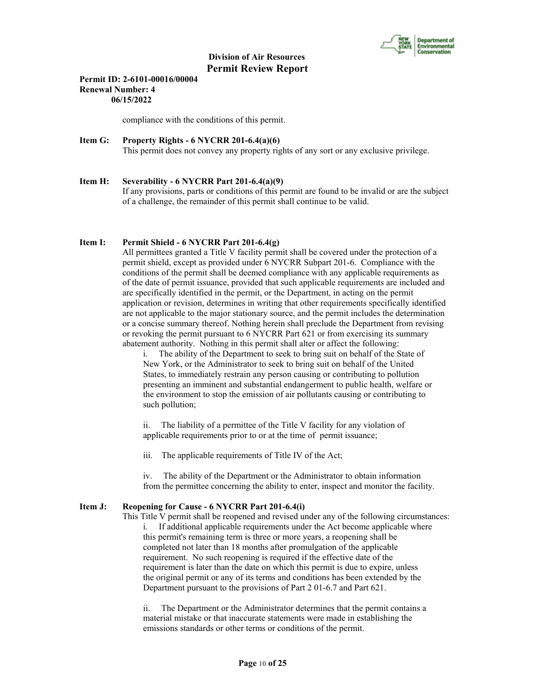

#### **Permit ID: 2-6101-00016/00004 Renewal Number: 4 06/15/2022**

compliance with the conditions of this permit.

## **Item G: Property Rights - 6 NYCRR 201-6.4(a)(6)**

This permit does not convey any property rights of any sort or any exclusive privilege.

## **Item H: Severability - 6 NYCRR Part 201-6.4(a)(9)** If any provisions, parts or conditions of this permit are found to be invalid or are the subject of a challenge, the remainder of this permit shall continue to be valid.

## **Item I: Permit Shield - 6 NYCRR Part 201-6.4(g)**

 All permittees granted a Title V facility permit shall be covered under the protection of a permit shield, except as provided under 6 NYCRR Subpart 201-6. Compliance with the conditions of the permit shall be deemed compliance with any applicable requirements as of the date of permit issuance, provided that such applicable requirements are included and are specifically identified in the permit, or the Department, in acting on the permit application or revision, determines in writing that other requirements specifically identified are not applicable to the major stationary source, and the permit includes the determination or a concise summary thereof. Nothing herein shall preclude the Department from revising or revoking the permit pursuant to 6 NYCRR Part 621 or from exercising its summary abatement authority. Nothing in this permit shall alter or affect the following:

i. The ability of the Department to seek to bring suit on behalf of the State of New York, or the Administrator to seek to bring suit on behalf of the United States, to immediately restrain any person causing or contributing to pollution presenting an imminent and substantial endangerment to public health, welfare or the environment to stop the emission of air pollutants causing or contributing to such pollution;

ii. The liability of a permittee of the Title V facility for any violation of applicable requirements prior to or at the time of permit issuance;

iii. The applicable requirements of Title IV of the Act;

iv. The ability of the Department or the Administrator to obtain information from the permittee concerning the ability to enter, inspect and monitor the facility.

## **Item J: Reopening for Cause - 6 NYCRR Part 201-6.4(i)**

 This Title V permit shall be reopened and revised under any of the following circumstances: i. If additional applicable requirements under the Act become applicable where this permit's remaining term is three or more years, a reopening shall be completed not later than 18 months after promulgation of the applicable requirement. No such reopening is required if the effective date of the requirement is later than the date on which this permit is due to expire, unless the original permit or any of its terms and conditions has been extended by the Department pursuant to the provisions of Part 2 01-6.7 and Part 621.

ii. The Department or the Administrator determines that the permit contains a material mistake or that inaccurate statements were made in establishing the emissions standards or other terms or conditions of the permit.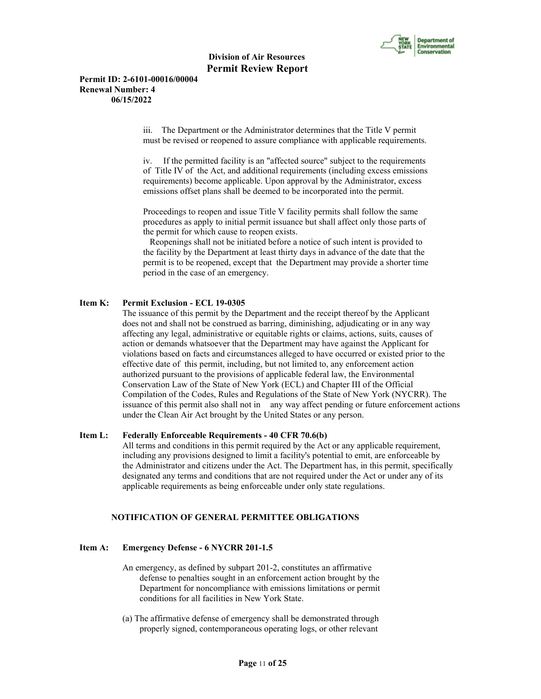

#### **Permit ID: 2-6101-00016/00004 Renewal Number: 4 06/15/2022**

iii. The Department or the Administrator determines that the Title V permit must be revised or reopened to assure compliance with applicable requirements.

iv. If the permitted facility is an "affected source" subject to the requirements of Title IV of the Act, and additional requirements (including excess emissions requirements) become applicable. Upon approval by the Administrator, excess emissions offset plans shall be deemed to be incorporated into the permit.

Proceedings to reopen and issue Title V facility permits shall follow the same procedures as apply to initial permit issuance but shall affect only those parts of the permit for which cause to reopen exists.

 Reopenings shall not be initiated before a notice of such intent is provided to the facility by the Department at least thirty days in advance of the date that the permit is to be reopened, except that the Department may provide a shorter time period in the case of an emergency.

## **Item K: Permit Exclusion - ECL 19-0305**

 The issuance of this permit by the Department and the receipt thereof by the Applicant does not and shall not be construed as barring, diminishing, adjudicating or in any way affecting any legal, administrative or equitable rights or claims, actions, suits, causes of action or demands whatsoever that the Department may have against the Applicant for violations based on facts and circumstances alleged to have occurred or existed prior to the effective date of this permit, including, but not limited to, any enforcement action authorized pursuant to the provisions of applicable federal law, the Environmental Conservation Law of the State of New York (ECL) and Chapter III of the Official Compilation of the Codes, Rules and Regulations of the State of New York (NYCRR). The issuance of this permit also shall not in any way affect pending or future enforcement actions under the Clean Air Act brought by the United States or any person.

#### **Item L: Federally Enforceable Requirements - 40 CFR 70.6(b)**

 All terms and conditions in this permit required by the Act or any applicable requirement, including any provisions designed to limit a facility's potential to emit, are enforceable by the Administrator and citizens under the Act. The Department has, in this permit, specifically designated any terms and conditions that are not required under the Act or under any of its applicable requirements as being enforceable under only state regulations.

#### **NOTIFICATION OF GENERAL PERMITTEE OBLIGATIONS**

#### **Item A: Emergency Defense - 6 NYCRR 201-1.5**

- An emergency, as defined by subpart 201-2, constitutes an affirmative defense to penalties sought in an enforcement action brought by the Department for noncompliance with emissions limitations or permit conditions for all facilities in New York State.
- (a) The affirmative defense of emergency shall be demonstrated through properly signed, contemporaneous operating logs, or other relevant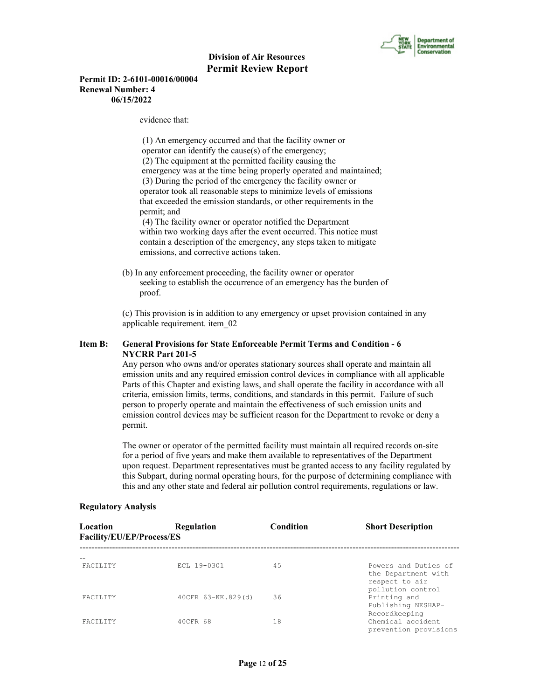

#### **Permit ID: 2-6101-00016/00004 Renewal Number: 4 06/15/2022**

evidence that:

 (1) An emergency occurred and that the facility owner or operator can identify the cause(s) of the emergency; (2) The equipment at the permitted facility causing the emergency was at the time being properly operated and maintained; (3) During the period of the emergency the facility owner or operator took all reasonable steps to minimize levels of emissions that exceeded the emission standards, or other requirements in the permit; and

 (4) The facility owner or operator notified the Department within two working days after the event occurred. This notice must contain a description of the emergency, any steps taken to mitigate emissions, and corrective actions taken.

 (b) In any enforcement proceeding, the facility owner or operator seeking to establish the occurrence of an emergency has the burden of proof.

 (c) This provision is in addition to any emergency or upset provision contained in any applicable requirement. item\_02

## **Item B: General Provisions for State Enforceable Permit Terms and Condition - 6 NYCRR Part 201-5**

 Any person who owns and/or operates stationary sources shall operate and maintain all emission units and any required emission control devices in compliance with all applicable Parts of this Chapter and existing laws, and shall operate the facility in accordance with all criteria, emission limits, terms, conditions, and standards in this permit. Failure of such person to properly operate and maintain the effectiveness of such emission units and emission control devices may be sufficient reason for the Department to revoke or deny a permit.

 The owner or operator of the permitted facility must maintain all required records on-site for a period of five years and make them available to representatives of the Department upon request. Department representatives must be granted access to any facility regulated by this Subpart, during normal operating hours, for the purpose of determining compliance with this and any other state and federal air pollution control requirements, regulations or law.

| Location<br>Facility/EU/EP/Process/ES | <b>Regulation</b>  | Condition | <b>Short Description</b>                                      |
|---------------------------------------|--------------------|-----------|---------------------------------------------------------------|
| <b>FACTLITY</b>                       | ECL 19-0301        | 45        | Powers and Duties of<br>the Department with<br>respect to air |
| <b>FACTLITY</b>                       | 40CFR 63-KK.829(d) | 36        | pollution control<br>Printing and<br>Publishing NESHAP-       |
| <b>FACTLITY</b>                       | 40CFR 68           | 18        | Recordkeeping<br>Chemical accident<br>prevention provisions   |

## **Regulatory Analysis**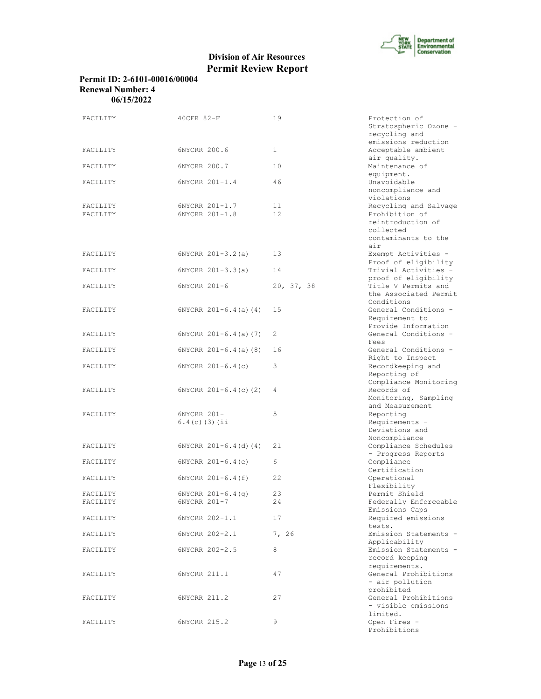

## **Permit ID: 2-6101-00016/00004 Renewal Number: 4 06/15/2022**

| FACILITY             | 40CFR 82-F                       | 19           | Protection of<br>Stratospheric Ozone -<br>recycling and                                                 |
|----------------------|----------------------------------|--------------|---------------------------------------------------------------------------------------------------------|
| FACILITY             | 6NYCRR 200.6                     | $\mathbf{1}$ | emissions reduction<br>Acceptable ambient                                                               |
| FACILITY             | 6NYCRR 200.7                     | 10           | air quality.<br>Maintenance of<br>equipment.                                                            |
| FACILITY             | 6NYCRR 201-1.4                   | 46           | Unavoidable<br>noncompliance and<br>violations                                                          |
| FACILITY<br>FACILITY | 6NYCRR 201-1.7<br>6NYCRR 201-1.8 | 11<br>12     | Recycling and Salvage<br>Prohibition of<br>reintroduction of<br>collected<br>contaminants to the<br>air |
| FACILITY             | $6NYCRR 201-3.2(a)$              | 13           | Exempt Activities -<br>Proof of eligibility                                                             |
| FACILITY             | $6NYCRR 201-3.3(a)$              | 14           | Trivial Activities -<br>proof of eligibility                                                            |
| FACILITY             | 6NYCRR 201-6                     | 20, 37, 38   | Title V Permits and<br>the Associated Permit<br>Conditions                                              |
| FACILITY             | $6NYCRR 201-6.4(a) (4)$          | 15           | General Conditions -<br>Requirement to<br>Provide Information                                           |
| FACILITY             | $6NYCRR$ $201-6.4$ (a) (7)       | 2            | General Conditions -<br>Fees                                                                            |
| FACILITY             | $6NYCRR$ $201-6.4$ (a) (8)       | 16           | General Conditions -<br>Right to Inspect                                                                |
| FACILITY             | $6NYCRR$ $201-6.4(c)$            | 3            | Recordkeeping and<br>Reporting of                                                                       |
| FACILITY             | $6NYCRR$ $201-6.4(c)$ (2)        | 4            | Compliance Monitoring<br>Records of<br>Monitoring, Sampling<br>and Measurement                          |
| FACILITY             | 6NYCRR 201-                      | 5            | Reporting                                                                                               |
|                      | $6.4(c)$ (3) (ii                 |              | Requirements -<br>Deviations and<br>Noncompliance                                                       |
| FACILITY             | $6NYCRR 201-6.4(d) (4)$          | 21           | Compliance Schedules<br>- Progress Reports                                                              |
| FACILITY             | $6NYCRR 201-6.4(e)$              | 6            | Compliance<br>Certification                                                                             |
| FACILITY             | 6NYCRR 201-6.4(f)                | 22           | Operational<br>Flexibility                                                                              |
| FACILITY             | $6NYCRR 201-6.4(q)$              | 23           | Permit Shield                                                                                           |
| FACILITY             | 6NYCRR 201-7                     | 24           | Federally Enforceable<br>Emissions Caps                                                                 |
| FACILITY             | 6NYCRR 202-1.1                   | 17           | Required emissions<br>tests.                                                                            |
| FACILITY             | 6NYCRR 202-2.1                   | 7, 26        | Emission Statements -<br>Applicability                                                                  |
| FACILITY             | 6NYCRR 202-2.5                   | 8            | Emission Statements -<br>record keeping<br>requirements.                                                |
| FACILITY             | 6NYCRR 211.1                     | 47           | General Prohibitions<br>- air pollution<br>prohibited                                                   |
| FACILITY             | 6NYCRR 211.2                     | 27           | General Prohibitions<br>- visible emissions<br>limited.                                                 |
| FACILITY             | 6NYCRR 215.2                     | 9            | Open Fires -<br>Prohibitions                                                                            |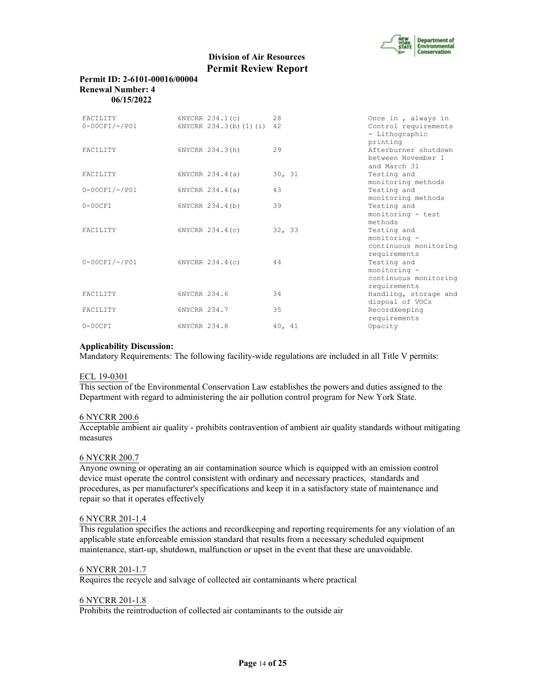

#### **Permit ID: 2-6101-00016/00004 Renewal Number: 4 06/15/2022**

| FACTLITY<br>$0-00CFI/-/PO1$ | 6NYCRR 234.1(c)<br>6NYCRR 234.3(b) (1) (i) | 28<br>42 | Once in, always in<br>Control requirements<br>- Lithographic<br>printing |
|-----------------------------|--------------------------------------------|----------|--------------------------------------------------------------------------|
| <b>FACTLITY</b>             | 6NYCRR 234.3(h)                            | 29       | Afterburner shutdown<br>between November 1<br>and March 31               |
| <b>FACTLITY</b>             | 6NYCRR 234.4(a)                            | 30, 31   | Testing and<br>monitoring methods                                        |
| $0-00CFI/-/PO1$             | 6NYCRR 234.4(a)                            | 43       | Testing and<br>monitoring methods                                        |
| $0-00CFT$                   | 6NYCRR 234.4(b)                            | 39       | Testing and<br>monitoring - test<br>methods                              |
| <b>FACTLITY</b>             | 6NYCRR 234.4(c)                            | 32, 33   | Testing and<br>monitoring -<br>continuous monitoring<br>requirements     |
| $0-00CFI/-/PO1$             | 6NYCRR 234.4(c)                            | 44       | Testing and<br>monitoring -<br>continuous monitoring<br>requirements     |
| <b>FACTLITY</b>             | 6NYCRR 234.6                               | 34       | Handling, storage and<br>dispoal of VOCs                                 |
| FACILITY                    | 6NYCRR 234.7                               | 35       | Recordkeeping<br>requirements                                            |
| $0-00CFT$                   | 6NYCRR 234.8                               | 40, 41   | Opacity                                                                  |

## **Applicability Discussion:**

Mandatory Requirements: The following facility-wide regulations are included in all Title V permits:

## ECL 19-0301

This section of the Environmental Conservation Law establishes the powers and duties assigned to the Department with regard to administering the air pollution control program for New York State.

#### 6 NYCRR 200.6

Acceptable ambient air quality - prohibits contravention of ambient air quality standards without mitigating measures

#### 6 NYCRR 200.7

Anyone owning or operating an air contamination source which is equipped with an emission control device must operate the control consistent with ordinary and necessary practices, standards and procedures, as per manufacturer's specifications and keep it in a satisfactory state of maintenance and repair so that it operates effectively

#### 6 NYCRR 201-1.4

This regulation specifies the actions and recordkeeping and reporting requirements for any violation of an applicable state enforceable emission standard that results from a necessary scheduled equipment maintenance, start-up, shutdown, malfunction or upset in the event that these are unavoidable.

#### 6 NYCRR 201-1.7

Requires the recycle and salvage of collected air contaminants where practical

#### 6 NYCRR 201-1.8

Prohibits the reintroduction of collected air contaminants to the outside air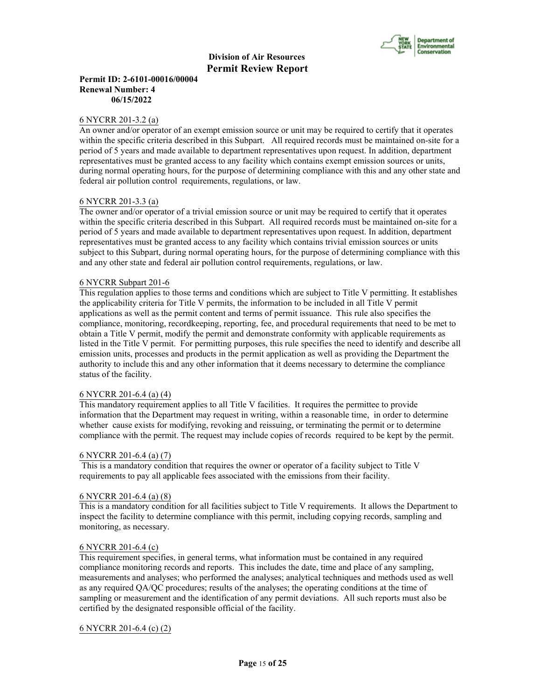

## **Permit ID: 2-6101-00016/00004 Renewal Number: 4 06/15/2022**

#### 6 NYCRR 201-3.2 (a)

An owner and/or operator of an exempt emission source or unit may be required to certify that it operates within the specific criteria described in this Subpart. All required records must be maintained on-site for a period of 5 years and made available to department representatives upon request. In addition, department representatives must be granted access to any facility which contains exempt emission sources or units, during normal operating hours, for the purpose of determining compliance with this and any other state and federal air pollution control requirements, regulations, or law.

#### 6 NYCRR 201-3.3 (a)

The owner and/or operator of a trivial emission source or unit may be required to certify that it operates within the specific criteria described in this Subpart. All required records must be maintained on-site for a period of 5 years and made available to department representatives upon request. In addition, department representatives must be granted access to any facility which contains trivial emission sources or units subject to this Subpart, during normal operating hours, for the purpose of determining compliance with this and any other state and federal air pollution control requirements, regulations, or law.

#### 6 NYCRR Subpart 201-6

This regulation applies to those terms and conditions which are subject to Title V permitting. It establishes the applicability criteria for Title V permits, the information to be included in all Title V permit applications as well as the permit content and terms of permit issuance. This rule also specifies the compliance, monitoring, recordkeeping, reporting, fee, and procedural requirements that need to be met to obtain a Title V permit, modify the permit and demonstrate conformity with applicable requirements as listed in the Title V permit. For permitting purposes, this rule specifies the need to identify and describe all emission units, processes and products in the permit application as well as providing the Department the authority to include this and any other information that it deems necessary to determine the compliance status of the facility.

#### 6 NYCRR 201-6.4 (a) (4)

This mandatory requirement applies to all Title V facilities. It requires the permittee to provide information that the Department may request in writing, within a reasonable time, in order to determine whether cause exists for modifying, revoking and reissuing, or terminating the permit or to determine compliance with the permit. The request may include copies of records required to be kept by the permit.

#### 6 NYCRR 201-6.4 (a) (7)

 This is a mandatory condition that requires the owner or operator of a facility subject to Title V requirements to pay all applicable fees associated with the emissions from their facility.

#### 6 NYCRR 201-6.4 (a) (8)

This is a mandatory condition for all facilities subject to Title V requirements. It allows the Department to inspect the facility to determine compliance with this permit, including copying records, sampling and monitoring, as necessary.

#### 6 NYCRR 201-6.4 (c)

This requirement specifies, in general terms, what information must be contained in any required compliance monitoring records and reports. This includes the date, time and place of any sampling, measurements and analyses; who performed the analyses; analytical techniques and methods used as well as any required QA/QC procedures; results of the analyses; the operating conditions at the time of sampling or measurement and the identification of any permit deviations. All such reports must also be certified by the designated responsible official of the facility.

## 6 NYCRR 201-6.4 (c) (2)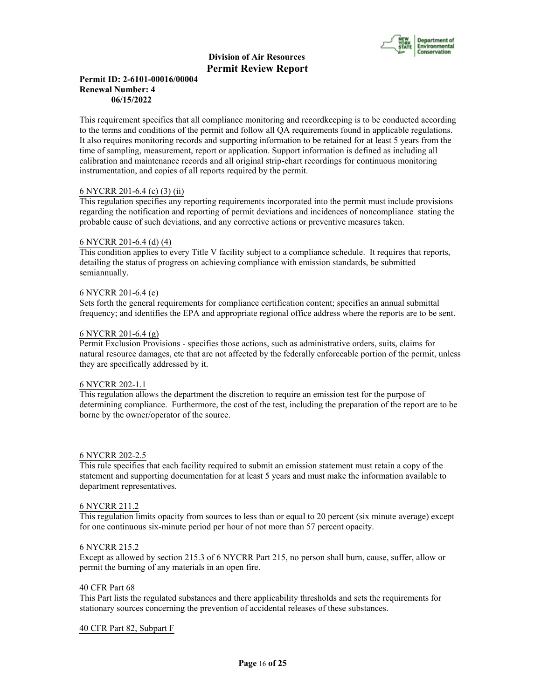

## **Permit ID: 2-6101-00016/00004 Renewal Number: 4 06/15/2022**

This requirement specifies that all compliance monitoring and recordkeeping is to be conducted according to the terms and conditions of the permit and follow all QA requirements found in applicable regulations. It also requires monitoring records and supporting information to be retained for at least 5 years from the time of sampling, measurement, report or application. Support information is defined as including all calibration and maintenance records and all original strip-chart recordings for continuous monitoring instrumentation, and copies of all reports required by the permit.

## 6 NYCRR 201-6.4 (c) (3) (ii)

This regulation specifies any reporting requirements incorporated into the permit must include provisions regarding the notification and reporting of permit deviations and incidences of noncompliance stating the probable cause of such deviations, and any corrective actions or preventive measures taken.

#### 6 NYCRR 201-6.4 (d) (4)

This condition applies to every Title V facility subject to a compliance schedule. It requires that reports, detailing the status of progress on achieving compliance with emission standards, be submitted semiannually.

## 6 NYCRR 201-6.4 (e)

Sets forth the general requirements for compliance certification content; specifies an annual submittal frequency; and identifies the EPA and appropriate regional office address where the reports are to be sent.

## 6 NYCRR 201-6.4 (g)

Permit Exclusion Provisions - specifies those actions, such as administrative orders, suits, claims for natural resource damages, etc that are not affected by the federally enforceable portion of the permit, unless they are specifically addressed by it.

#### 6 NYCRR 202-1.1

This regulation allows the department the discretion to require an emission test for the purpose of determining compliance. Furthermore, the cost of the test, including the preparation of the report are to be borne by the owner/operator of the source.

#### 6 NYCRR 202-2.5

This rule specifies that each facility required to submit an emission statement must retain a copy of the statement and supporting documentation for at least 5 years and must make the information available to department representatives.

#### 6 NYCRR 211.2

This regulation limits opacity from sources to less than or equal to 20 percent (six minute average) except for one continuous six-minute period per hour of not more than 57 percent opacity.

#### 6 NYCRR 215.2

Except as allowed by section 215.3 of 6 NYCRR Part 215, no person shall burn, cause, suffer, allow or permit the burning of any materials in an open fire.

#### 40 CFR Part 68

This Part lists the regulated substances and there applicability thresholds and sets the requirements for stationary sources concerning the prevention of accidental releases of these substances.

## 40 CFR Part 82, Subpart F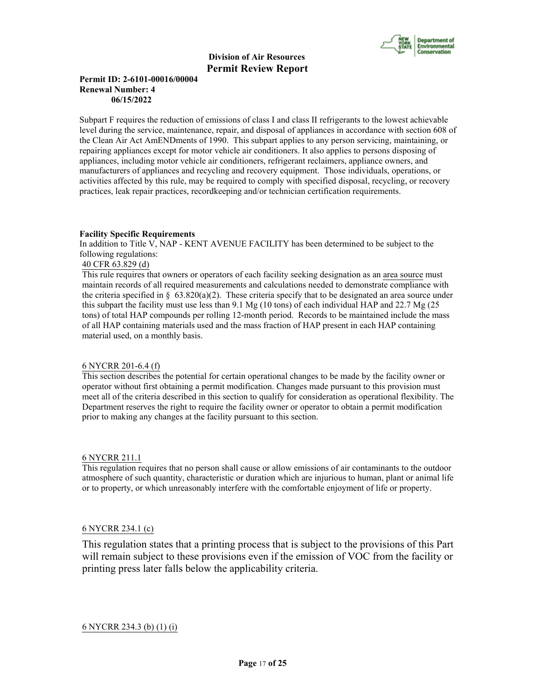

## **Permit ID: 2-6101-00016/00004 Renewal Number: 4 06/15/2022**

Subpart F requires the reduction of emissions of class I and class II refrigerants to the lowest achievable level during the service, maintenance, repair, and disposal of appliances in accordance with section 608 of the Clean Air Act AmENDments of 1990. This subpart applies to any person servicing, maintaining, or repairing appliances except for motor vehicle air conditioners. It also applies to persons disposing of appliances, including motor vehicle air conditioners, refrigerant reclaimers, appliance owners, and manufacturers of appliances and recycling and recovery equipment. Those individuals, operations, or activities affected by this rule, may be required to comply with specified disposal, recycling, or recovery practices, leak repair practices, recordkeeping and/or technician certification requirements.

#### **Facility Specific Requirements**

In addition to Title V, NAP - KENT AVENUE FACILITY has been determined to be subject to the following regulations:

## 40 CFR 63.829 (d)

This rule requires that owners or operators of each facility seeking designation as an area source must maintain records of all required measurements and calculations needed to demonstrate compliance with the criteria specified in §  $63.820(a)(2)$ . These criteria specify that to be designated an area source under this subpart the facility must use less than 9.1 Mg (10 tons) of each individual HAP and 22.7 Mg (25 tons) of total HAP compounds per rolling 12-month period. Records to be maintained include the mass of all HAP containing materials used and the mass fraction of HAP present in each HAP containing material used, on a monthly basis.

## 6 NYCRR 201-6.4 (f)

This section describes the potential for certain operational changes to be made by the facility owner or operator without first obtaining a permit modification. Changes made pursuant to this provision must meet all of the criteria described in this section to qualify for consideration as operational flexibility. The Department reserves the right to require the facility owner or operator to obtain a permit modification prior to making any changes at the facility pursuant to this section.

#### 6 NYCRR 211.1

This regulation requires that no person shall cause or allow emissions of air contaminants to the outdoor atmosphere of such quantity, characteristic or duration which are injurious to human, plant or animal life or to property, or which unreasonably interfere with the comfortable enjoyment of life or property.

## 6 NYCRR 234.1 (c)

This regulation states that a printing process that is subject to the provisions of this Part will remain subject to these provisions even if the emission of VOC from the facility or printing press later falls below the applicability criteria.

## 6 NYCRR 234.3 (b) (1) (i)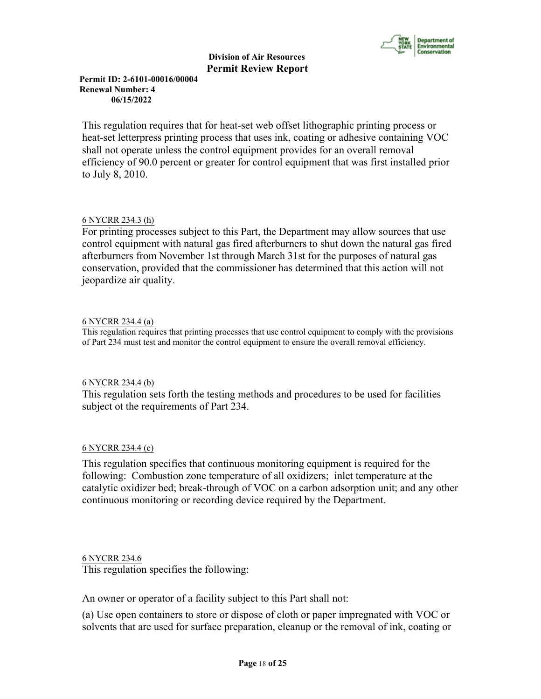

**Permit ID: 2-6101-00016/00004 Renewal Number: 4 06/15/2022**

This regulation requires that for heat-set web offset lithographic printing process or heat-set letterpress printing process that uses ink, coating or adhesive containing VOC shall not operate unless the control equipment provides for an overall removal efficiency of 90.0 percent or greater for control equipment that was first installed prior to July 8, 2010.

# 6 NYCRR 234.3 (h)

For printing processes subject to this Part, the Department may allow sources that use control equipment with natural gas fired afterburners to shut down the natural gas fired afterburners from November 1st through March 31st for the purposes of natural gas conservation, provided that the commissioner has determined that this action will not jeopardize air quality.

# 6 NYCRR 234.4 (a)

This regulation requires that printing processes that use control equipment to comply with the provisions of Part 234 must test and monitor the control equipment to ensure the overall removal efficiency.

# 6 NYCRR 234.4 (b)

This regulation sets forth the testing methods and procedures to be used for facilities subject ot the requirements of Part 234.

# 6 NYCRR 234.4 (c)

This regulation specifies that continuous monitoring equipment is required for the following: Combustion zone temperature of all oxidizers; inlet temperature at the catalytic oxidizer bed; break-through of VOC on a carbon adsorption unit; and any other continuous monitoring or recording device required by the Department.

# 6 NYCRR 234.6

This regulation specifies the following:

An owner or operator of a facility subject to this Part shall not:

(a) Use open containers to store or dispose of cloth or paper impregnated with VOC or solvents that are used for surface preparation, cleanup or the removal of ink, coating or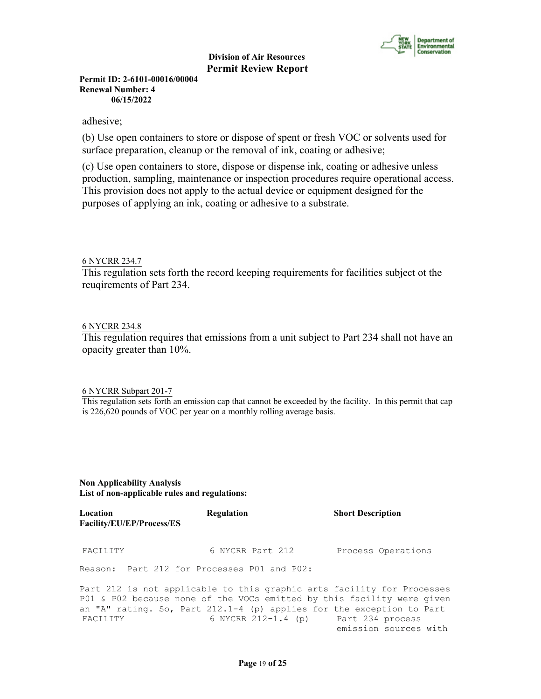

**Permit ID: 2-6101-00016/00004 Renewal Number: 4 06/15/2022**

## adhesive;

(b) Use open containers to store or dispose of spent or fresh VOC or solvents used for surface preparation, cleanup or the removal of ink, coating or adhesive;

(c) Use open containers to store, dispose or dispense ink, coating or adhesive unless production, sampling, maintenance or inspection procedures require operational access. This provision does not apply to the actual device or equipment designed for the purposes of applying an ink, coating or adhesive to a substrate.

## 6 NYCRR 234.7

This regulation sets forth the record keeping requirements for facilities subject ot the reuqirements of Part 234.

## 6 NYCRR 234.8

This regulation requires that emissions from a unit subject to Part 234 shall not have an opacity greater than 10%.

## 6 NYCRR Subpart 201-7

This regulation sets forth an emission cap that cannot be exceeded by the facility. In this permit that cap is 226,620 pounds of VOC per year on a monthly rolling average basis.

## **Non Applicability Analysis List of non-applicable rules and regulations:**

| Location<br><b>Facility/EU/EP/Process/ES</b> | Regulation                                                                                                                                                                                                                                                        | <b>Short Description</b> |
|----------------------------------------------|-------------------------------------------------------------------------------------------------------------------------------------------------------------------------------------------------------------------------------------------------------------------|--------------------------|
| FACILITY                                     | 6 NYCRR Part 212                                                                                                                                                                                                                                                  | Process Operations       |
| Reason: Part 212 for Processes P01 and P02:  |                                                                                                                                                                                                                                                                   |                          |
| FACILITY                                     | Part 212 is not applicable to this graphic arts facility for Processes<br>P01 & P02 because none of the VOCs emitted by this facility were given<br>an "A" rating. So, Part 212.1-4 (p) applies for the exception to Part<br>6 NYCRR 212-1.4 (p) Part 234 process |                          |

emission sources with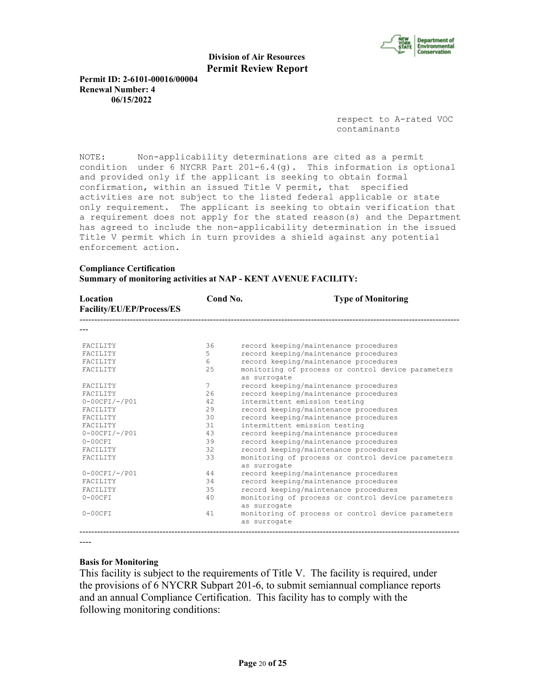

**Permit ID: 2-6101-00016/00004 Renewal Number: 4 06/15/2022**

> respect to A-rated VOC contaminants

NOTE: Non-applicability determinations are cited as a permit condition under 6 NYCRR Part  $201-6.4$  (q). This information is optional and provided only if the applicant is seeking to obtain formal confirmation, within an issued Title V permit, that specified activities are not subject to the listed federal applicable or state only requirement. The applicant is seeking to obtain verification that a requirement does not apply for the stated reason(s) and the Department has agreed to include the non-applicability determination in the issued Title V permit which in turn provides a shield against any potential enforcement action.

## **Compliance Certification**

**Summary of monitoring activities at NAP - KENT AVENUE FACILITY:**

| Location<br>Facility/EU/EP/Process/ES | Cond No. | <b>Type of Monitoring</b>                                          |
|---------------------------------------|----------|--------------------------------------------------------------------|
|                                       |          |                                                                    |
| <b>FACTLITY</b>                       | 36       | record keeping/maintenance procedures                              |
| <b>FACTLITY</b>                       | 5.       | record keeping/maintenance procedures                              |
| <b>FACTLITY</b>                       | 6        | record keeping/maintenance procedures                              |
| FACILITY                              | 25       | monitoring of process or control device parameters<br>as surrogate |
| <b>FACTLITY</b>                       | 7        | record keeping/maintenance procedures                              |
| <b>FACTLITY</b>                       | 2.6      | record keeping/maintenance procedures                              |
| $0-00CFI/-/PO1$                       | 42       | intermittent emission testing                                      |
| <b>FACTLITY</b>                       | 29       | record keeping/maintenance procedures                              |
| FACILITY                              | 30       | record keeping/maintenance procedures                              |
| <b>FACTLITY</b>                       | 31       | intermittent emission testing                                      |
| $0-00CFI/-/PO1$                       | 43       | record keeping/maintenance procedures                              |
| $0-00CFT$                             | 39       | record keeping/maintenance procedures                              |
| <b>FACTLITY</b>                       | 32       | record keeping/maintenance procedures                              |
| <b>FACTLITY</b>                       | 33       | monitoring of process or control device parameters<br>as surrogate |
| $0-00CFI/-/PO1$                       | 44       | record keeping/maintenance procedures                              |
| FACILITY                              | 34       | record keeping/maintenance procedures                              |
| FACILITY                              | 35       | record keeping/maintenance procedures                              |
| $0-00CFI$                             | 40       | monitoring of process or control device parameters<br>as surrogate |
| $0-00CFI$                             | 41       | monitoring of process or control device parameters<br>as surrogate |
|                                       |          |                                                                    |

----

#### **Basis for Monitoring**

This facility is subject to the requirements of Title V. The facility is required, under the provisions of 6 NYCRR Subpart 201-6, to submit semiannual compliance reports and an annual Compliance Certification. This facility has to comply with the following monitoring conditions: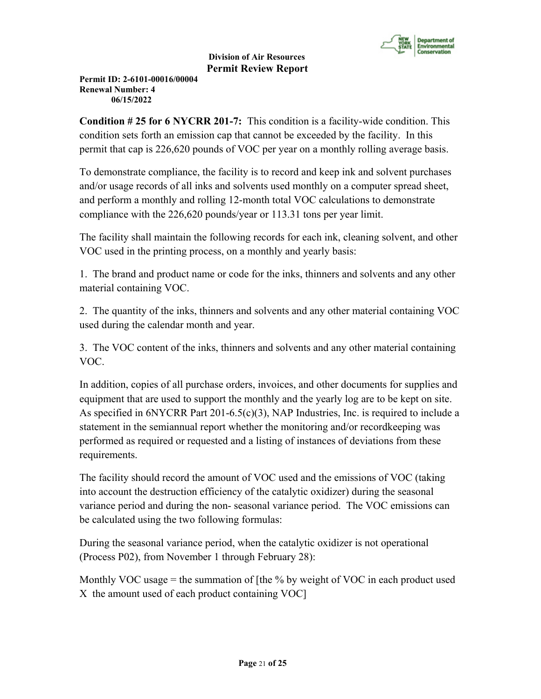

**Permit ID: 2-6101-00016/00004 Renewal Number: 4 06/15/2022**

**Condition # 25 for 6 NYCRR 201-7:** This condition is a facility-wide condition. This condition sets forth an emission cap that cannot be exceeded by the facility. In this permit that cap is 226,620 pounds of VOC per year on a monthly rolling average basis.

To demonstrate compliance, the facility is to record and keep ink and solvent purchases and/or usage records of all inks and solvents used monthly on a computer spread sheet, and perform a monthly and rolling 12-month total VOC calculations to demonstrate compliance with the 226,620 pounds/year or 113.31 tons per year limit.

The facility shall maintain the following records for each ink, cleaning solvent, and other VOC used in the printing process, on a monthly and yearly basis:

1. The brand and product name or code for the inks, thinners and solvents and any other material containing VOC.

2. The quantity of the inks, thinners and solvents and any other material containing VOC used during the calendar month and year.

3. The VOC content of the inks, thinners and solvents and any other material containing VOC.

In addition, copies of all purchase orders, invoices, and other documents for supplies and equipment that are used to support the monthly and the yearly log are to be kept on site. As specified in  $6NYCRR$  Part  $201-6.5(c)(3)$ , NAP Industries, Inc. is required to include a statement in the semiannual report whether the monitoring and/or recordkeeping was performed as required or requested and a listing of instances of deviations from these requirements.

The facility should record the amount of VOC used and the emissions of VOC (taking into account the destruction efficiency of the catalytic oxidizer) during the seasonal variance period and during the non- seasonal variance period. The VOC emissions can be calculated using the two following formulas:

During the seasonal variance period, when the catalytic oxidizer is not operational (Process P02), from November 1 through February 28):

Monthly VOC usage = the summation of [the  $%$  by weight of VOC in each product used X the amount used of each product containing VOC]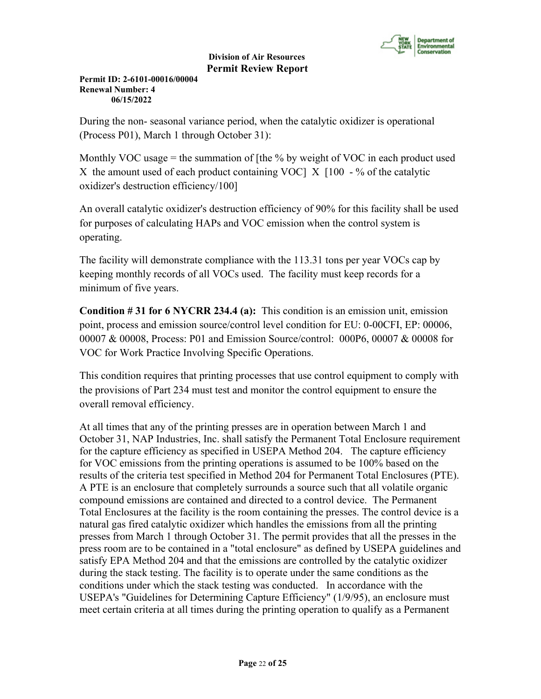

**Permit ID: 2-6101-00016/00004 Renewal Number: 4 06/15/2022**

During the non- seasonal variance period, when the catalytic oxidizer is operational (Process P01), March 1 through October 31):

Monthly VOC usage = the summation of [the  $\%$  by weight of VOC in each product used X the amount used of each product containing VOC  $\vert$  X  $\vert$  100 - % of the catalytic oxidizer's destruction efficiency/100]

An overall catalytic oxidizer's destruction efficiency of 90% for this facility shall be used for purposes of calculating HAPs and VOC emission when the control system is operating.

The facility will demonstrate compliance with the 113.31 tons per year VOCs cap by keeping monthly records of all VOCs used. The facility must keep records for a minimum of five years.

**Condition # 31 for 6 NYCRR 234.4 (a):** This condition is an emission unit, emission point, process and emission source/control level condition for EU: 0-00CFI, EP: 00006, 00007 & 00008, Process: P01 and Emission Source/control: 000P6, 00007 & 00008 for VOC for Work Practice Involving Specific Operations.

This condition requires that printing processes that use control equipment to comply with the provisions of Part 234 must test and monitor the control equipment to ensure the overall removal efficiency.

At all times that any of the printing presses are in operation between March 1 and October 31, NAP Industries, Inc. shall satisfy the Permanent Total Enclosure requirement for the capture efficiency as specified in USEPA Method 204. The capture efficiency for VOC emissions from the printing operations is assumed to be 100% based on the results of the criteria test specified in Method 204 for Permanent Total Enclosures (PTE). A PTE is an enclosure that completely surrounds a source such that all volatile organic compound emissions are contained and directed to a control device. The Permanent Total Enclosures at the facility is the room containing the presses. The control device is a natural gas fired catalytic oxidizer which handles the emissions from all the printing presses from March 1 through October 31. The permit provides that all the presses in the press room are to be contained in a "total enclosure" as defined by USEPA guidelines and satisfy EPA Method 204 and that the emissions are controlled by the catalytic oxidizer during the stack testing. The facility is to operate under the same conditions as the conditions under which the stack testing was conducted. In accordance with the USEPA's "Guidelines for Determining Capture Efficiency" (1/9/95), an enclosure must meet certain criteria at all times during the printing operation to qualify as a Permanent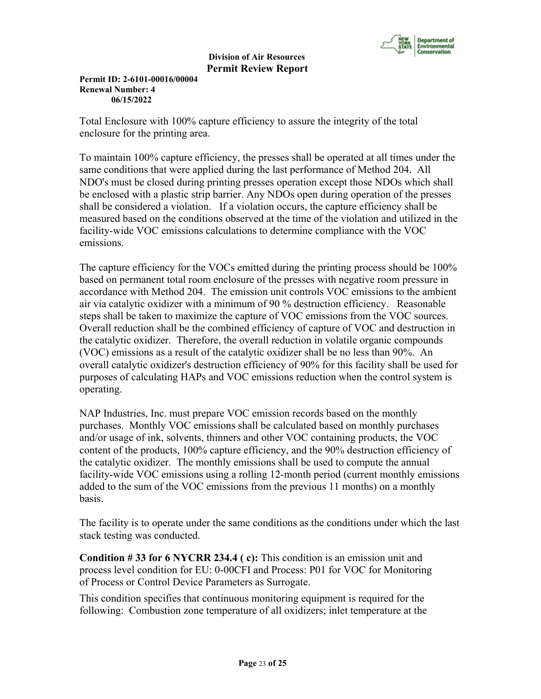

**Permit ID: 2-6101-00016/00004 Renewal Number: 4 06/15/2022**

Total Enclosure with 100% capture efficiency to assure the integrity of the total enclosure for the printing area.

To maintain 100% capture efficiency, the presses shall be operated at all times under the same conditions that were applied during the last performance of Method 204. All NDO's must be closed during printing presses operation except those NDOs which shall be enclosed with a plastic strip barrier. Any NDOs open during operation of the presses shall be considered a violation. If a violation occurs, the capture efficiency shall be measured based on the conditions observed at the time of the violation and utilized in the facility-wide VOC emissions calculations to determine compliance with the VOC emissions.

The capture efficiency for the VOCs emitted during the printing process should be 100% based on permanent total room enclosure of the presses with negative room pressure in accordance with Method 204. The emission unit controls VOC emissions to the ambient air via catalytic oxidizer with a minimum of 90 % destruction efficiency. Reasonable steps shall be taken to maximize the capture of VOC emissions from the VOC sources. Overall reduction shall be the combined efficiency of capture of VOC and destruction in the catalytic oxidizer. Therefore, the overall reduction in volatile organic compounds (VOC) emissions as a result of the catalytic oxidizer shall be no less than 90%. An overall catalytic oxidizer's destruction efficiency of 90% for this facility shall be used for purposes of calculating HAPs and VOC emissions reduction when the control system is operating.

NAP Industries, Inc. must prepare VOC emission records based on the monthly purchases. Monthly VOC emissions shall be calculated based on monthly purchases and/or usage of ink, solvents, thinners and other VOC containing products, the VOC content of the products, 100% capture efficiency, and the 90% destruction efficiency of the catalytic oxidizer. The monthly emissions shall be used to compute the annual facility-wide VOC emissions using a rolling 12-month period (current monthly emissions added to the sum of the VOC emissions from the previous 11 months) on a monthly basis.

The facility is to operate under the same conditions as the conditions under which the last stack testing was conducted.

**Condition # 33 for 6 NYCRR 234.4 ( c):** This condition is an emission unit and process level condition for EU: 0-00CFI and Process: P01 for VOC for Monitoring of Process or Control Device Parameters as Surrogate.

This condition specifies that continuous monitoring equipment is required for the following: Combustion zone temperature of all oxidizers; inlet temperature at the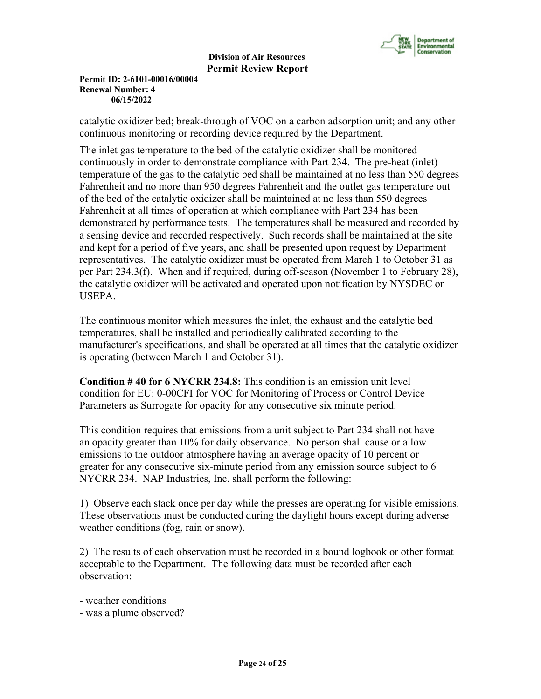

**Permit ID: 2-6101-00016/00004 Renewal Number: 4 06/15/2022**

catalytic oxidizer bed; break-through of VOC on a carbon adsorption unit; and any other continuous monitoring or recording device required by the Department.

The inlet gas temperature to the bed of the catalytic oxidizer shall be monitored continuously in order to demonstrate compliance with Part 234. The pre-heat (inlet) temperature of the gas to the catalytic bed shall be maintained at no less than 550 degrees Fahrenheit and no more than 950 degrees Fahrenheit and the outlet gas temperature out of the bed of the catalytic oxidizer shall be maintained at no less than 550 degrees Fahrenheit at all times of operation at which compliance with Part 234 has been demonstrated by performance tests. The temperatures shall be measured and recorded by a sensing device and recorded respectively. Such records shall be maintained at the site and kept for a period of five years, and shall be presented upon request by Department representatives. The catalytic oxidizer must be operated from March 1 to October 31 as per Part 234.3(f). When and if required, during off-season (November 1 to February 28), the catalytic oxidizer will be activated and operated upon notification by NYSDEC or USEPA.

The continuous monitor which measures the inlet, the exhaust and the catalytic bed temperatures, shall be installed and periodically calibrated according to the manufacturer's specifications, and shall be operated at all times that the catalytic oxidizer is operating (between March 1 and October 31).

**Condition # 40 for 6 NYCRR 234.8:** This condition is an emission unit level condition for EU: 0-00CFI for VOC for Monitoring of Process or Control Device Parameters as Surrogate for opacity for any consecutive six minute period.

This condition requires that emissions from a unit subject to Part 234 shall not have an opacity greater than 10% for daily observance. No person shall cause or allow emissions to the outdoor atmosphere having an average opacity of 10 percent or greater for any consecutive six-minute period from any emission source subject to 6 NYCRR 234. NAP Industries, Inc. shall perform the following:

1) Observe each stack once per day while the presses are operating for visible emissions. These observations must be conducted during the daylight hours except during adverse weather conditions (fog, rain or snow).

2) The results of each observation must be recorded in a bound logbook or other format acceptable to the Department. The following data must be recorded after each observation:

- weather conditions

- was a plume observed?